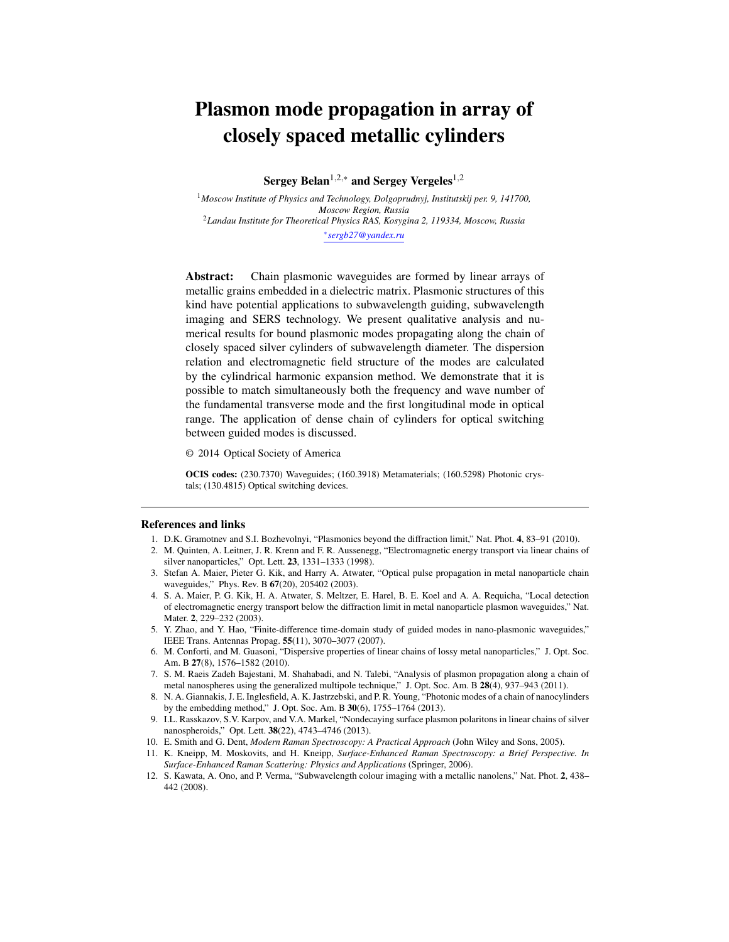# Plasmon mode propagation in array of closely spaced metallic cylinders

Sergey Belan<sup>1,2,∗</sup> and Sergey Vergeles<sup>1,2</sup>

<sup>1</sup>*Moscow Institute of Physics and Technology, Dolgoprudnyj, Institutskij per. 9, 141700, Moscow Region, Russia* <sup>2</sup>*Landau Institute for Theoretical Physics RAS, Kosygina 2, 119334, Moscow, Russia* ∗ *sergb27@yandex.ru*

Abstract: Chain plasmonic waveguides are formed by linear arrays of metallic grains embedded in a dielectric matrix. Plasmonic structures of this kind have potential applications to subwavelength guiding, subwavelength imaging and SERS technology. We present qualitative analysis and numerical results for bound plasmonic modes propagating along the chain of closely spaced silver cylinders of subwavelength diameter. The dispersion relation and electromagnetic field structure of the modes are calculated by the cylindrical harmonic expansion method. We demonstrate that it is possible to match simultaneously both the frequency and wave number of the fundamental transverse mode and the first longitudinal mode in optical range. The application of dense chain of cylinders for optical switching between guided modes is discussed.

© 2014 Optical Society of America

OCIS codes: (230.7370) Waveguides; (160.3918) Metamaterials; (160.5298) Photonic crystals; (130.4815) Optical switching devices.

#### References and links

- 1. D.K. Gramotnev and S.I. Bozhevolnyi, "Plasmonics beyond the diffraction limit," Nat. Phot. 4, 83–91 (2010).
- 2. M. Quinten, A. Leitner, J. R. Krenn and F. R. Aussenegg, "Electromagnetic energy transport via linear chains of silver nanoparticles," Opt. Lett. 23, 1331–1333 (1998).
- 3. Stefan A. Maier, Pieter G. Kik, and Harry A. Atwater, "Optical pulse propagation in metal nanoparticle chain waveguides," Phys. Rev. B 67(20), 205402 (2003).
- 4. S. A. Maier, P. G. Kik, H. A. Atwater, S. Meltzer, E. Harel, B. E. Koel and A. A. Requicha, "Local detection of electromagnetic energy transport below the diffraction limit in metal nanoparticle plasmon waveguides," Nat. Mater. 2, 229–232 (2003).
- 5. Y. Zhao, and Y. Hao, "Finite-difference time-domain study of guided modes in nano-plasmonic waveguides," IEEE Trans. Antennas Propag. 55(11), 3070–3077 (2007).
- 6. M. Conforti, and M. Guasoni, "Dispersive properties of linear chains of lossy metal nanoparticles," J. Opt. Soc. Am. B 27(8), 1576–1582 (2010).
- 7. S. M. Raeis Zadeh Bajestani, M. Shahabadi, and N. Talebi, "Analysis of plasmon propagation along a chain of metal nanospheres using the generalized multipole technique," J. Opt. Soc. Am. B 28(4), 937–943 (2011).
- 8. N. A. Giannakis, J. E. Inglesfield, A. K. Jastrzebski, and P. R. Young, "Photonic modes of a chain of nanocylinders by the embedding method," J. Opt. Soc. Am. B 30(6), 1755–1764 (2013).
- 9. I.L. Rasskazov, S.V. Karpov, and V.A. Markel, "Nondecaying surface plasmon polaritons in linear chains of silver nanospheroids," Opt. Lett. 38(22), 4743–4746 (2013).
- 10. E. Smith and G. Dent, *Modern Raman Spectroscopy: A Practical Approach* (John Wiley and Sons, 2005).
- 11. K. Kneipp, M. Moskovits, and H. Kneipp, *Surface-Enhanced Raman Spectroscopy: a Brief Perspective. In Surface-Enhanced Raman Scattering: Physics and Applications* (Springer, 2006).
- 12. S. Kawata, A. Ono, and P. Verma, "Subwavelength colour imaging with a metallic nanolens," Nat. Phot. 2, 438– 442 (2008).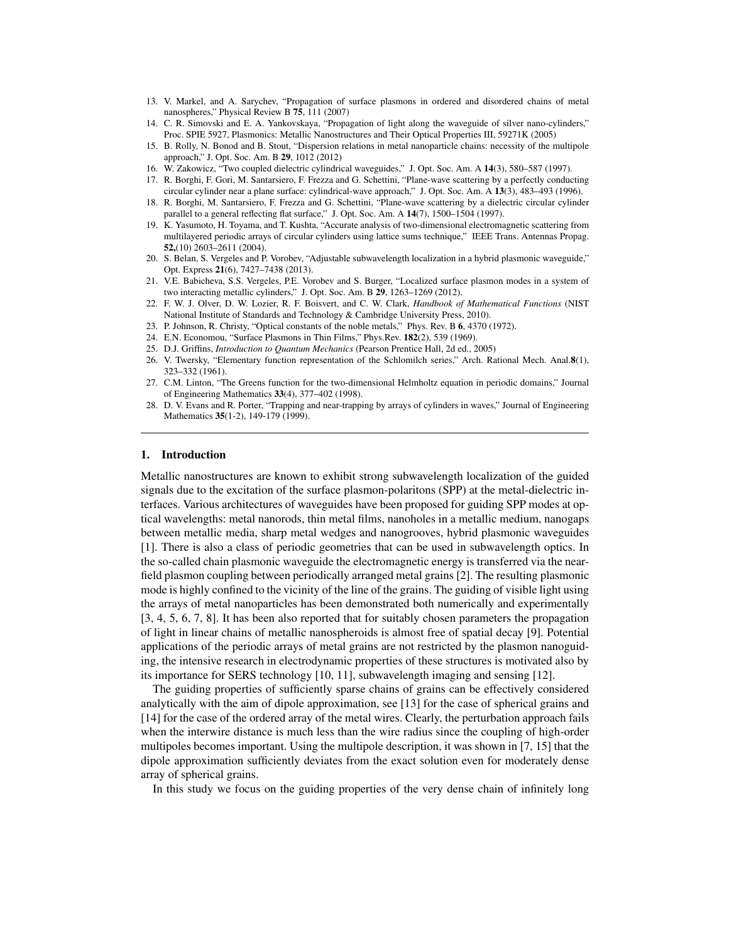- 13. V. Markel, and A. Sarychev, "Propagation of surface plasmons in ordered and disordered chains of metal nanospheres," Physical Review B 75, 111 (2007)
- 14. C. R. Simovski and E. A. Yankovskaya, "Propagation of light along the waveguide of silver nano-cylinders," Proc. SPIE 5927, Plasmonics: Metallic Nanostructures and Their Optical Properties III, 59271K (2005)
- 15. B. Rolly, N. Bonod and B. Stout, "Dispersion relations in metal nanoparticle chains: necessity of the multipole approach," J. Opt. Soc. Am. B 29, 1012 (2012)
- 16. W. Zakowicz, "Two coupled dielectric cylindrical waveguides," J. Opt. Soc. Am. A 14(3), 580–587 (1997).
- 17. R. Borghi, F. Gori, M. Santarsiero, F. Frezza and G. Schettini, "Plane-wave scattering by a perfectly conducting circular cylinder near a plane surface: cylindrical-wave approach," J. Opt. Soc. Am. A 13(3), 483–493 (1996).
- 18. R. Borghi, M. Santarsiero, F. Frezza and G. Schettini, "Plane-wave scattering by a dielectric circular cylinder parallel to a general reflecting flat surface," J. Opt. Soc. Am. A  $14(7)$ , 1500–1504 (1997).
- 19. K. Yasumoto, H. Toyama, and T. Kushta, "Accurate analysis of two-dimensional electromagnetic scattering from multilayered periodic arrays of circular cylinders using lattice sums technique," IEEE Trans. Antennas Propag. 52,(10) 2603–2611 (2004).
- 20. S. Belan, S. Vergeles and P. Vorobev, "Adjustable subwavelength localization in a hybrid plasmonic waveguide," Opt. Express 21(6), 7427–7438 (2013).
- 21. V.E. Babicheva, S.S. Vergeles, P.E. Vorobev and S. Burger, "Localized surface plasmon modes in a system of two interacting metallic cylinders," J. Opt. Soc. Am. B 29, 1263–1269 (2012).
- 22. F. W. J. Olver, D. W. Lozier, R. F. Boisvert, and C. W. Clark, *Handbook of Mathematical Functions* (NIST National Institute of Standards and Technology & Cambridge University Press, 2010).
- 23. P. Johnson, R. Christy, "Optical constants of the noble metals," Phys. Rev. B 6, 4370 (1972).
- 24. E.N. Economou, "Surface Plasmons in Thin Films," Phys.Rev. 182(2), 539 (1969).
- 25. D.J. Griffins, *Introduction to Quantum Mechanics* (Pearson Prentice Hall, 2d ed., 2005)
- 26. V. Twersky, "Elementary function representation of the Schlomilch series," Arch. Rational Mech. Anal.8(1), 323–332 (1961).
- 27. C.M. Linton, "The Greens function for the two-dimensional Helmholtz equation in periodic domains," Journal of Engineering Mathematics 33(4), 377–402 (1998).
- 28. D. V. Evans and R. Porter, "Trapping and near-trapping by arrays of cylinders in waves," Journal of Engineering Mathematics 35(1-2), 149-179 (1999).

#### 1. Introduction

Metallic nanostructures are known to exhibit strong subwavelength localization of the guided signals due to the excitation of the surface plasmon-polaritons (SPP) at the metal-dielectric interfaces. Various architectures of waveguides have been proposed for guiding SPP modes at optical wavelengths: metal nanorods, thin metal films, nanoholes in a metallic medium, nanogaps between metallic media, sharp metal wedges and nanogrooves, hybrid plasmonic waveguides [1]. There is also a class of periodic geometries that can be used in subwavelength optics. In the so-called chain plasmonic waveguide the electromagnetic energy is transferred via the nearfield plasmon coupling between periodically arranged metal grains [2]. The resulting plasmonic mode is highly confined to the vicinity of the line of the grains. The guiding of visible light using the arrays of metal nanoparticles has been demonstrated both numerically and experimentally [3, 4, 5, 6, 7, 8]. It has been also reported that for suitably chosen parameters the propagation of light in linear chains of metallic nanospheroids is almost free of spatial decay [9]. Potential applications of the periodic arrays of metal grains are not restricted by the plasmon nanoguiding, the intensive research in electrodynamic properties of these structures is motivated also by its importance for SERS technology [10, 11], subwavelength imaging and sensing [12].

The guiding properties of sufficiently sparse chains of grains can be effectively considered analytically with the aim of dipole approximation, see [13] for the case of spherical grains and [14] for the case of the ordered array of the metal wires. Clearly, the perturbation approach fails when the interwire distance is much less than the wire radius since the coupling of high-order multipoles becomes important. Using the multipole description, it was shown in [7, 15] that the dipole approximation sufficiently deviates from the exact solution even for moderately dense array of spherical grains.

In this study we focus on the guiding properties of the very dense chain of infinitely long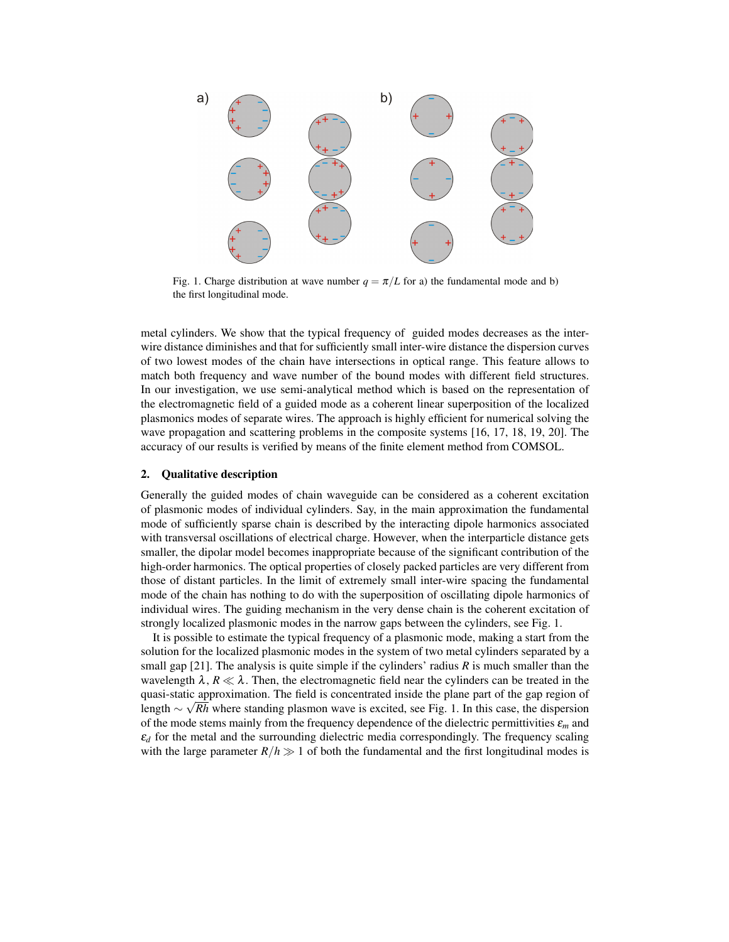

Fig. 1. Charge distribution at wave number  $q = \pi/L$  for a) the fundamental mode and b) the first longitudinal mode.

metal cylinders. We show that the typical frequency of guided modes decreases as the interwire distance diminishes and that for sufficiently small inter-wire distance the dispersion curves of two lowest modes of the chain have intersections in optical range. This feature allows to match both frequency and wave number of the bound modes with different field structures. In our investigation, we use semi-analytical method which is based on the representation of the electromagnetic field of a guided mode as a coherent linear superposition of the localized plasmonics modes of separate wires. The approach is highly efficient for numerical solving the wave propagation and scattering problems in the composite systems [16, 17, 18, 19, 20]. The accuracy of our results is verified by means of the finite element method from COMSOL.

## 2. Qualitative description

Generally the guided modes of chain waveguide can be considered as a coherent excitation of plasmonic modes of individual cylinders. Say, in the main approximation the fundamental mode of sufficiently sparse chain is described by the interacting dipole harmonics associated with transversal oscillations of electrical charge. However, when the interparticle distance gets smaller, the dipolar model becomes inappropriate because of the significant contribution of the high-order harmonics. The optical properties of closely packed particles are very different from those of distant particles. In the limit of extremely small inter-wire spacing the fundamental mode of the chain has nothing to do with the superposition of oscillating dipole harmonics of individual wires. The guiding mechanism in the very dense chain is the coherent excitation of strongly localized plasmonic modes in the narrow gaps between the cylinders, see Fig. 1.

It is possible to estimate the typical frequency of a plasmonic mode, making a start from the solution for the localized plasmonic modes in the system of two metal cylinders separated by a small gap [21]. The analysis is quite simple if the cylinders' radius *R* is much smaller than the wavelength  $\lambda$ ,  $R \ll \lambda$ . Then, the electromagnetic field near the cylinders can be treated in the quasi-static approximation. The field is concentrated inside the plane part of the gap region of length ∼ √Rh where standing plasmon wave is excited, see Fig. 1. In this case, the dispersion of the mode stems mainly from the frequency dependence of the dielectric permittivities  $\varepsilon_m$  and  $\varepsilon_d$  for the metal and the surrounding dielectric media correspondingly. The frequency scaling with the large parameter  $R/h \gg 1$  of both the fundamental and the first longitudinal modes is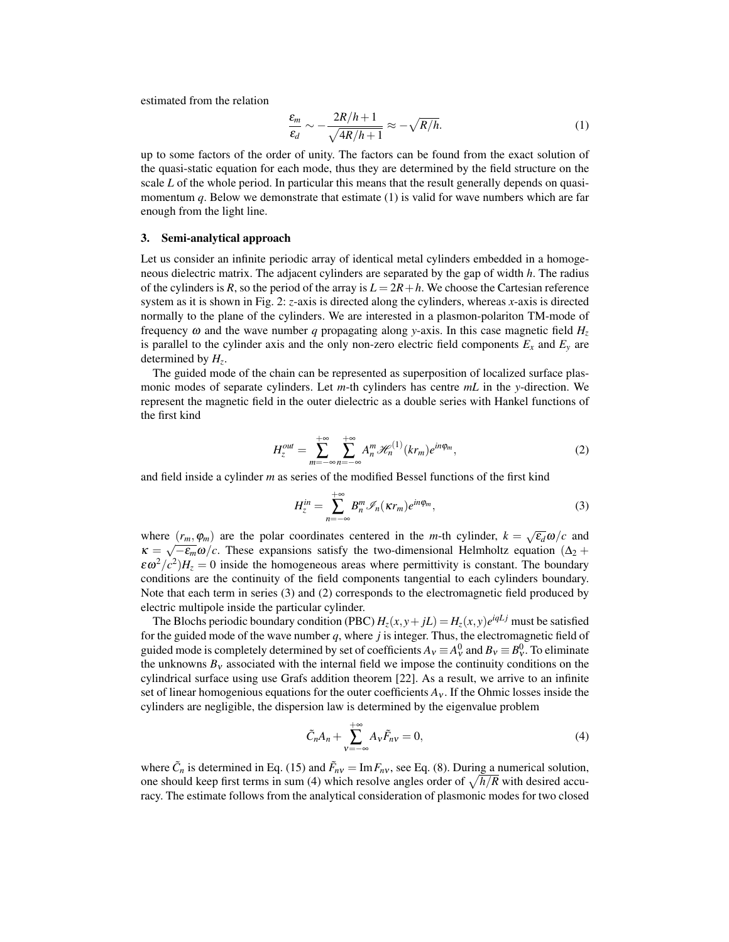estimated from the relation

$$
\frac{\varepsilon_m}{\varepsilon_d} \sim -\frac{2R/h + 1}{\sqrt{4R/h + 1}} \approx -\sqrt{R/h}.\tag{1}
$$

up to some factors of the order of unity. The factors can be found from the exact solution of the quasi-static equation for each mode, thus they are determined by the field structure on the scale *L* of the whole period. In particular this means that the result generally depends on quasimomentum *q*. Below we demonstrate that estimate (1) is valid for wave numbers which are far enough from the light line.

#### 3. Semi-analytical approach

Let us consider an infinite periodic array of identical metal cylinders embedded in a homogeneous dielectric matrix. The adjacent cylinders are separated by the gap of width *h*. The radius of the cylinders is *R*, so the period of the array is  $L = 2R + h$ . We choose the Cartesian reference system as it is shown in Fig. 2: *z*-axis is directed along the cylinders, whereas *x*-axis is directed normally to the plane of the cylinders. We are interested in a plasmon-polariton TM-mode of frequency  $\omega$  and the wave number *q* propagating along *y*-axis. In this case magnetic field  $H_z$ is parallel to the cylinder axis and the only non-zero electric field components  $E_x$  and  $E_y$  are determined by *H<sup>z</sup>* .

The guided mode of the chain can be represented as superposition of localized surface plasmonic modes of separate cylinders. Let *m*-th cylinders has centre *mL* in the *y*-direction. We represent the magnetic field in the outer dielectric as a double series with Hankel functions of the first kind

$$
H_z^{out} = \sum_{m=-\infty}^{+\infty} \sum_{n=-\infty}^{+\infty} A_n^m \mathcal{H}_n^{(1)}(kr_m) e^{in\varphi_m}, \qquad (2)
$$

and field inside a cylinder *m* as series of the modified Bessel functions of the first kind

$$
H_z^{in} = \sum_{n=-\infty}^{+\infty} B_n^m \mathcal{I}_n(\kappa r_m) e^{in\varphi_m},\tag{3}
$$

where  $(r_m, \varphi_m)$  are the polar coordinates centered in the *m*-th cylinder,  $k = \sqrt{\varepsilon_d} \omega/c$  and  $\kappa = \sqrt{-\varepsilon_m} \omega/c$ . These expansions satisfy the two-dimensional Helmholtz equation ( $\Delta_2$  +  $\varepsilon \omega^2/c^2$ ) $H_z = 0$  inside the homogeneous areas where permittivity is constant. The boundary conditions are the continuity of the field components tangential to each cylinders boundary. Note that each term in series (3) and (2) corresponds to the electromagnetic field produced by electric multipole inside the particular cylinder.

The Blochs periodic boundary condition (PBC)  $H_z(x, y + jL) = H_z(x, y)e^{iqLj}$  must be satisfied for the guided mode of the wave number *q*, where *j* is integer. Thus, the electromagnetic field of guided mode is completely determined by set of coefficients  $A_v \equiv A_v^0$  and  $B_v \equiv B_v^0$ . To eliminate the unknowns  $B<sub>v</sub>$  associated with the internal field we impose the continuity conditions on the cylindrical surface using use Grafs addition theorem [22]. As a result, we arrive to an infinite set of linear homogenious equations for the outer coefficients  $A<sub>v</sub>$ . If the Ohmic losses inside the cylinders are negligible, the dispersion law is determined by the eigenvalue problem

$$
\tilde{C}_n A_n + \sum_{V=-\infty}^{+\infty} A_V \tilde{F}_{nV} = 0, \tag{4}
$$

where  $\tilde{C}_n$  is determined in Eq. (15) and  $\tilde{F}_{nv} = \text{Im } F_{nv}$ , see Eq. (8). During a numerical solution, one should keep first terms in sum (4) which resolve angles order of  $\sqrt{h/R}$  with desired accuracy. The estimate follows from the analytical consideration of plasmonic modes for two closed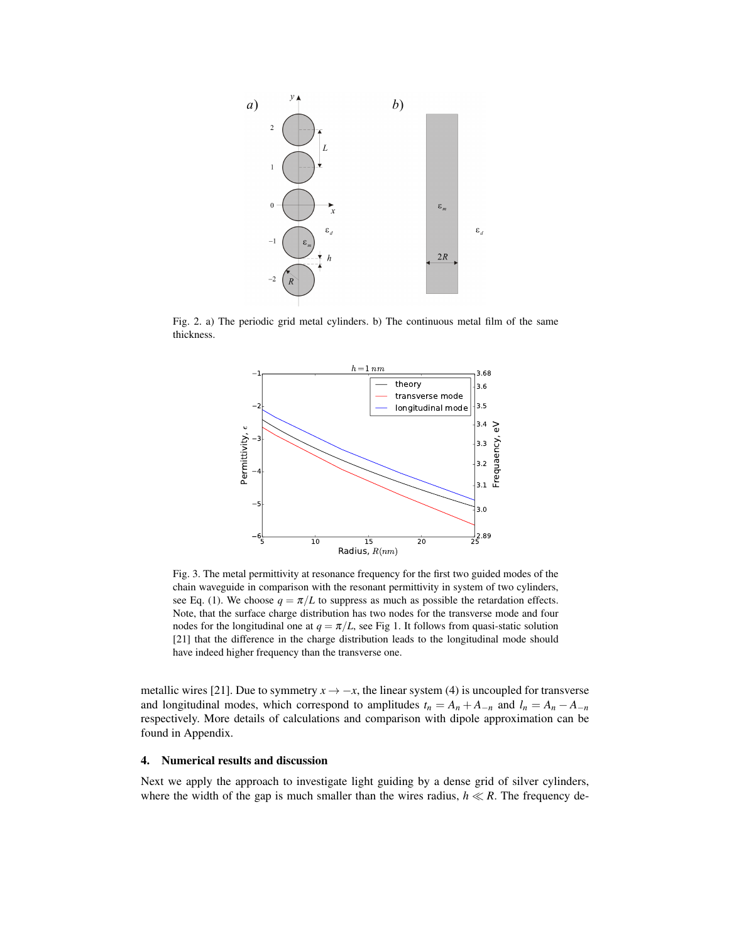

Fig. 2. a) The periodic grid metal cylinders. b) The continuous metal film of the same thickness.



Fig. 3. The metal permittivity at resonance frequency for the first two guided modes of the chain waveguide in comparison with the resonant permittivity in system of two cylinders, see Eq. (1). We choose  $q = \pi/L$  to suppress as much as possible the retardation effects. Note, that the surface charge distribution has two nodes for the transverse mode and four nodes for the longitudinal one at  $q = \pi/L$ , see Fig 1. It follows from quasi-static solution [21] that the difference in the charge distribution leads to the longitudinal mode should have indeed higher frequency than the transverse one.

metallic wires [21]. Due to symmetry  $x \to -x$ , the linear system (4) is uncoupled for transverse and longitudinal modes, which correspond to amplitudes  $t_n = A_n + A_{-n}$  and  $l_n = A_n - A_{-n}$ respectively. More details of calculations and comparison with dipole approximation can be found in Appendix.

# 4. Numerical results and discussion

Next we apply the approach to investigate light guiding by a dense grid of silver cylinders, where the width of the gap is much smaller than the wires radius,  $h \ll R$ . The frequency de-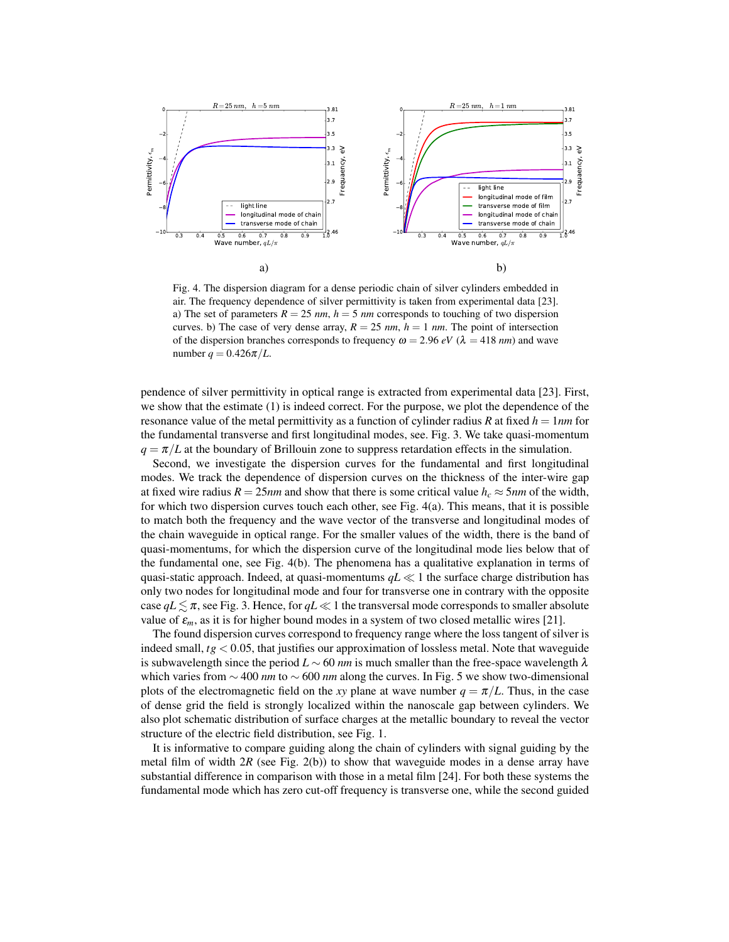

Fig. 4. The dispersion diagram for a dense periodic chain of silver cylinders embedded in air. The frequency dependence of silver permittivity is taken from experimental data [23]. a) The set of parameters  $R = 25$  *nm*,  $h = 5$  *nm* corresponds to touching of two dispersion curves. b) The case of very dense array,  $R = 25$  nm,  $h = 1$  nm. The point of intersection of the dispersion branches corresponds to frequency  $\omega = 2.96 \text{ eV}$  ( $\lambda = 418 \text{ nm}$ ) and wave number  $q = 0.426\pi/L$ .

pendence of silver permittivity in optical range is extracted from experimental data [23]. First, we show that the estimate (1) is indeed correct. For the purpose, we plot the dependence of the resonance value of the metal permittivity as a function of cylinder radius *R* at fixed  $h = 1$ *nm* for the fundamental transverse and first longitudinal modes, see. Fig. 3. We take quasi-momentum  $q = \pi/L$  at the boundary of Brillouin zone to suppress retardation effects in the simulation.

Second, we investigate the dispersion curves for the fundamental and first longitudinal modes. We track the dependence of dispersion curves on the thickness of the inter-wire gap at fixed wire radius  $R = 25$ *nm* and show that there is some critical value  $h_c \approx 5$ *nm* of the width, for which two dispersion curves touch each other, see Fig. 4(a). This means, that it is possible to match both the frequency and the wave vector of the transverse and longitudinal modes of the chain waveguide in optical range. For the smaller values of the width, there is the band of quasi-momentums, for which the dispersion curve of the longitudinal mode lies below that of the fundamental one, see Fig. 4(b). The phenomena has a qualitative explanation in terms of quasi-static approach. Indeed, at quasi-momentums  $qL \ll 1$  the surface charge distribution has only two nodes for longitudinal mode and four for transverse one in contrary with the opposite case  $qL \leq \pi$ , see Fig. 3. Hence, for  $qL \ll 1$  the transversal mode corresponds to smaller absolute value of  $\varepsilon_m$ , as it is for higher bound modes in a system of two closed metallic wires [21].

The found dispersion curves correspond to frequency range where the loss tangent of silver is indeed small,  $tg < 0.05$ , that justifies our approximation of lossless metal. Note that waveguide is subwavelength since the period  $L \sim 60$  *nm* is much smaller than the free-space wavelength  $\lambda$ which varies from ∼ 400 *nm* to ∼ 600 *nm* along the curves. In Fig. 5 we show two-dimensional plots of the electromagnetic field on the *xy* plane at wave number  $q = \pi/L$ . Thus, in the case of dense grid the field is strongly localized within the nanoscale gap between cylinders. We also plot schematic distribution of surface charges at the metallic boundary to reveal the vector structure of the electric field distribution, see Fig. 1.

It is informative to compare guiding along the chain of cylinders with signal guiding by the metal film of width 2*R* (see Fig. 2(b)) to show that waveguide modes in a dense array have substantial difference in comparison with those in a metal film [24]. For both these systems the fundamental mode which has zero cut-off frequency is transverse one, while the second guided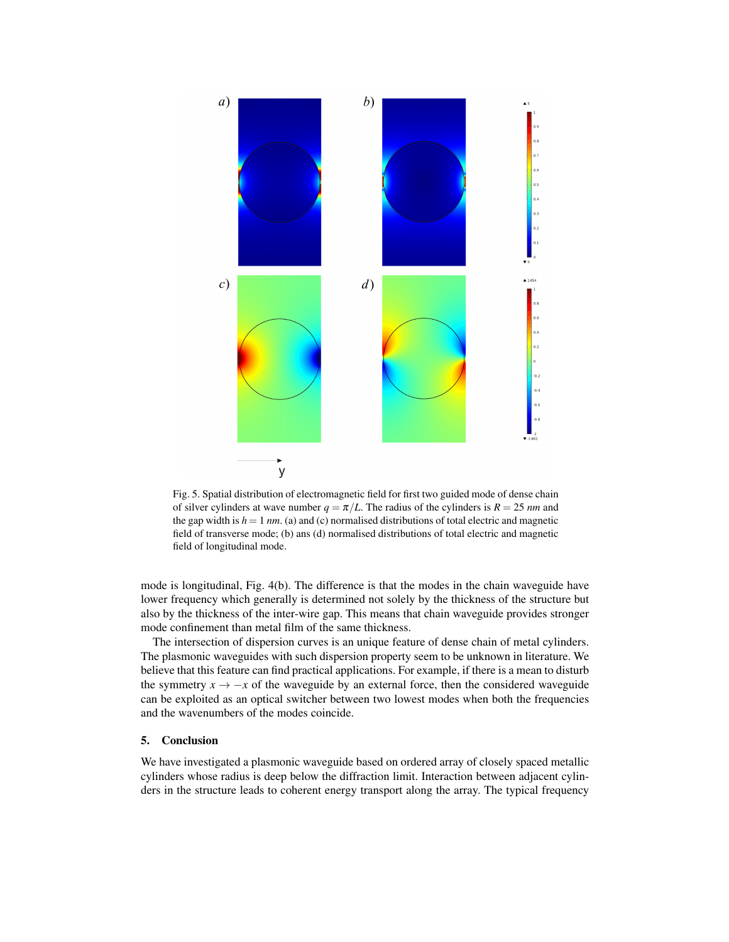

Fig. 5. Spatial distribution of electromagnetic field for first two guided mode of dense chain of silver cylinders at wave number  $q = \pi/L$ . The radius of the cylinders is  $R = 25$  *nm* and the gap width is  $h = 1$  *nm*. (a) and (c) normalised distributions of total electric and magnetic field of transverse mode; (b) ans (d) normalised distributions of total electric and magnetic field of longitudinal mode.

mode is longitudinal, Fig. 4(b). The difference is that the modes in the chain waveguide have lower frequency which generally is determined not solely by the thickness of the structure but also by the thickness of the inter-wire gap. This means that chain waveguide provides stronger mode confinement than metal film of the same thickness.

The intersection of dispersion curves is an unique feature of dense chain of metal cylinders. The plasmonic waveguides with such dispersion property seem to be unknown in literature. We believe that this feature can find practical applications. For example, if there is a mean to disturb the symmetry  $x \to -x$  of the waveguide by an external force, then the considered waveguide can be exploited as an optical switcher between two lowest modes when both the frequencies and the wavenumbers of the modes coincide.

## 5. Conclusion

We have investigated a plasmonic waveguide based on ordered array of closely spaced metallic cylinders whose radius is deep below the diffraction limit. Interaction between adjacent cylinders in the structure leads to coherent energy transport along the array. The typical frequency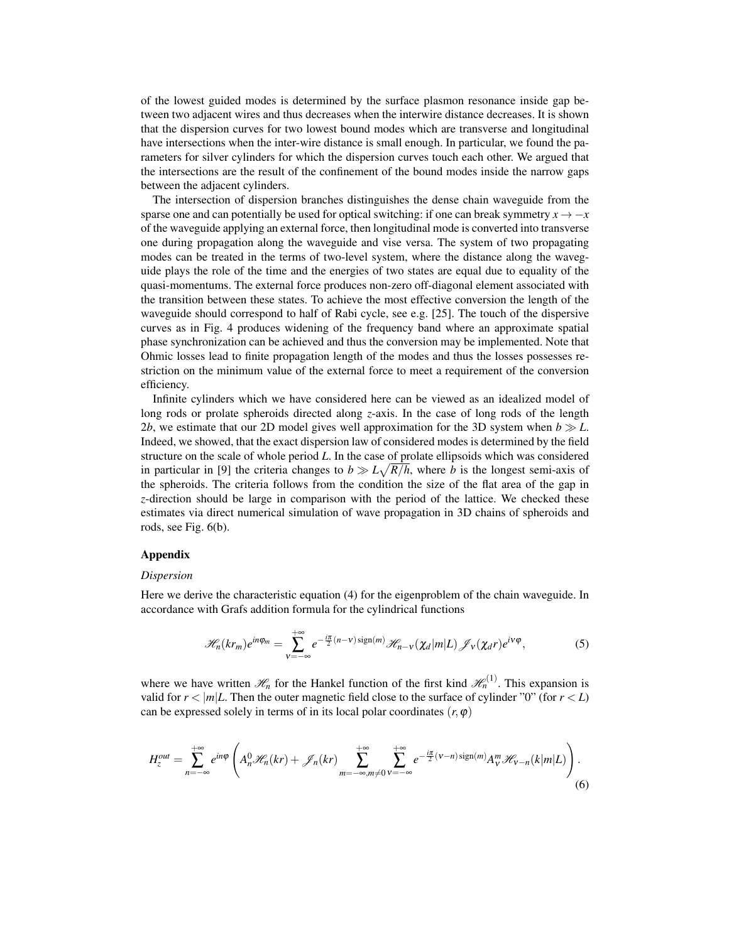of the lowest guided modes is determined by the surface plasmon resonance inside gap between two adjacent wires and thus decreases when the interwire distance decreases. It is shown that the dispersion curves for two lowest bound modes which are transverse and longitudinal have intersections when the inter-wire distance is small enough. In particular, we found the parameters for silver cylinders for which the dispersion curves touch each other. We argued that the intersections are the result of the confinement of the bound modes inside the narrow gaps between the adjacent cylinders.

The intersection of dispersion branches distinguishes the dense chain waveguide from the sparse one and can potentially be used for optical switching: if one can break symmetry  $x \rightarrow -x$ of the waveguide applying an external force, then longitudinal mode is converted into transverse one during propagation along the waveguide and vise versa. The system of two propagating modes can be treated in the terms of two-level system, where the distance along the waveguide plays the role of the time and the energies of two states are equal due to equality of the quasi-momentums. The external force produces non-zero off-diagonal element associated with the transition between these states. To achieve the most effective conversion the length of the waveguide should correspond to half of Rabi cycle, see e.g. [25]. The touch of the dispersive curves as in Fig. 4 produces widening of the frequency band where an approximate spatial phase synchronization can be achieved and thus the conversion may be implemented. Note that Ohmic losses lead to finite propagation length of the modes and thus the losses possesses restriction on the minimum value of the external force to meet a requirement of the conversion efficiency.

Infinite cylinders which we have considered here can be viewed as an idealized model of long rods or prolate spheroids directed along *z*-axis. In the case of long rods of the length 2*b*, we estimate that our 2D model gives well approximation for the 3D system when  $b \gg L$ . Indeed, we showed, that the exact dispersion law of considered modes is determined by the field structure on the scale of whole period *L*. In the case of prolate ellipsoids which was considered in particular in [9] the criteria changes to  $b \gg L\sqrt{R/h}$ , where *b* is the longest semi-axis of the spheroids. The criteria follows from the condition the size of the flat area of the gap in *z*-direction should be large in comparison with the period of the lattice. We checked these estimates via direct numerical simulation of wave propagation in 3D chains of spheroids and rods, see Fig. 6(b).

# Appendix

#### *Dispersion*

Here we derive the characteristic equation (4) for the eigenproblem of the chain waveguide. In accordance with Grafs addition formula for the cylindrical functions

$$
\mathscr{H}_n(kr_m)e^{in\varphi_m} = \sum_{V=-\infty}^{+\infty} e^{-\frac{i\pi}{2}(n-V)\operatorname{sign}(m)} \mathscr{H}_{n-V}(\chi_d|m|L) \mathscr{J}_V(\chi_d r)e^{iV\varphi},\tag{5}
$$

where we have written  $\mathcal{H}_n$  for the Hankel function of the first kind  $\mathcal{H}_n^{(1)}$ . This expansion is valid for  $r < |m|L$ . Then the outer magnetic field close to the surface of cylinder "0" (for  $r < L$ ) can be expressed solely in terms of in its local polar coordinates  $(r, \varphi)$ 

$$
H_z^{out} = \sum_{n=-\infty}^{+\infty} e^{in\varphi} \left( A_n^0 \mathcal{H}_n(kr) + \mathcal{J}_n(kr) \sum_{m=-\infty, m \neq 0}^{+\infty} \sum_{v=-\infty}^{+\infty} e^{-\frac{i\pi}{2}(v-n)\operatorname{sign}(m)} A_v^m \mathcal{H}_{v-n}(k|m|L) \right). \tag{6}
$$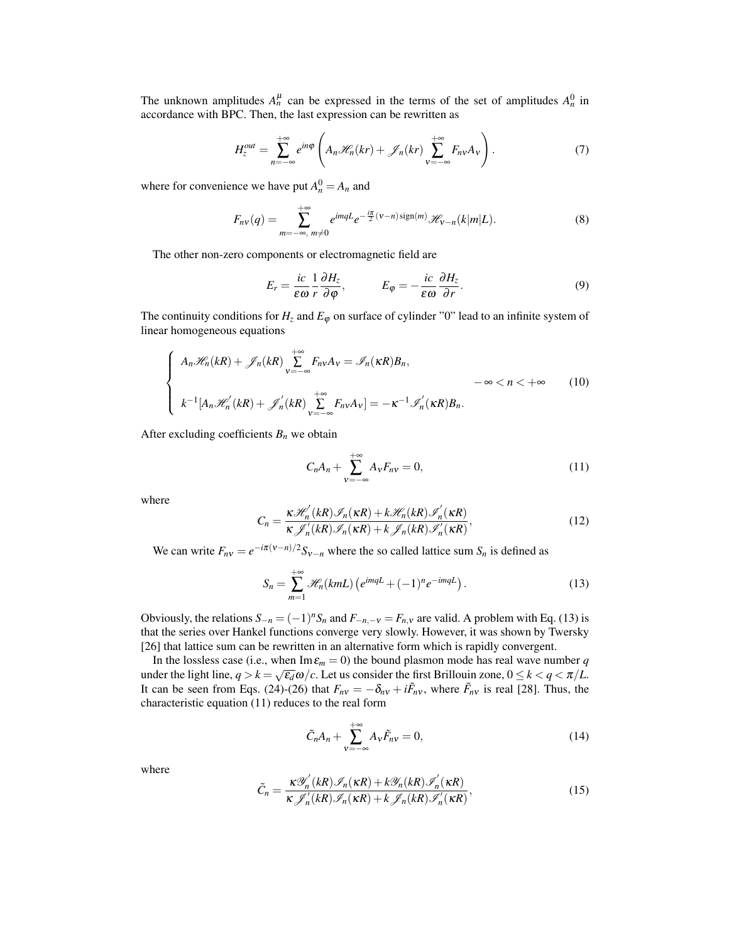The unknown amplitudes  $A_n^{\mu}$  can be expressed in the terms of the set of amplitudes  $A_n^0$  in accordance with BPC. Then, the last expression can be rewritten as

$$
H_z^{out} = \sum_{n=-\infty}^{+\infty} e^{in\varphi} \left( A_n \mathcal{H}_n(kr) + \mathcal{J}_n(kr) \sum_{V=-\infty}^{+\infty} F_{nv} A_V \right). \tag{7}
$$

where for convenience we have put  $A_n^0 = A_n$  and

$$
F_{n\nu}(q) = \sum_{m=-\infty, m\neq 0}^{+\infty} e^{imqL} e^{-\frac{i\pi}{2}(v-n)\operatorname{sign}(m)} \mathcal{H}_{\nu-n}(k|m|L). \tag{8}
$$

The other non-zero components or electromagnetic field are

$$
E_r = \frac{ic}{\varepsilon \omega} \frac{1}{r} \frac{\partial H_z}{\partial \varphi}, \qquad E_{\varphi} = -\frac{ic}{\varepsilon \omega} \frac{\partial H_z}{\partial r}.
$$
 (9)

The continuity conditions for  $H_z$  and  $E_\varphi$  on surface of cylinder "0" lead to an infinite system of linear homogeneous equations

$$
\begin{cases}\nA_n \mathcal{H}_n(kR) + \mathcal{J}_n(kR) \sum_{\nu=-\infty}^{+\infty} F_{n\nu} A_{\nu} = \mathcal{I}_n(\kappa R) B_n, \\
\qquad -\infty < n < +\infty \quad (10) \\
k^{-1} [A_n \mathcal{H}_n'(kR) + \mathcal{J}_n'(kR) \sum_{\nu=-\infty}^{+\infty} F_{n\nu} A_{\nu}] = -\kappa^{-1} \mathcal{J}_n'(\kappa R) B_n.\n\end{cases}
$$

After excluding coefficients  $B_n$  we obtain

$$
C_n A_n + \sum_{v=-\infty}^{+\infty} A_v F_{nv} = 0,
$$
\n(11)

where

$$
C_n = \frac{\kappa \mathcal{H}_n'(kR)\mathcal{I}_n(\kappa R) + k\mathcal{H}_n(kR)\mathcal{I}_n'(\kappa R)}{\kappa \mathcal{J}_n'(kR)\mathcal{I}_n(\kappa R) + k\mathcal{J}_n(kR)\mathcal{I}_n'(\kappa R)},
$$
(12)

We can write  $F_{n\nu} = e^{-i\pi(\nu - n)/2} S_{\nu - n}$  where the so called lattice sum  $S_n$  is defined as

$$
S_n = \sum_{m=1}^{+\infty} \mathcal{H}_n(kmL) \left( e^{imqL} + (-1)^n e^{-imqL} \right).
$$
 (13)

Obviously, the relations  $S_{-n} = (-1)^n S_n$  and  $F_{-n,-v} = F_{n,v}$  are valid. A problem with Eq. (13) is that the series over Hankel functions converge very slowly. However, it was shown by Twersky [26] that lattice sum can be rewritten in an alternative form which is rapidly convergent.

In the lossless case (i.e., when Im $\varepsilon_m = 0$ ) the bound plasmon mode has real wave number *q* under the light line,  $q > k = \sqrt{\varepsilon_d} \omega/c$ . Let us consider the first Brillouin zone,  $0 \le k < q < \pi/L$ . It can be seen from Eqs. (24)-(26) that  $F_{nv} = -\delta_{nv} + i\tilde{F}_{nv}$ , where  $\tilde{F}_{nv}$  is real [28]. Thus, the characteristic equation (11) reduces to the real form

$$
\tilde{C}_n A_n + \sum_{\nu = -\infty}^{+\infty} A_\nu \tilde{F}_{n\nu} = 0, \qquad (14)
$$

where

$$
\tilde{C}_n = \frac{\kappa \mathcal{Y}_n'(kR)\mathcal{I}_n(\kappa R) + k\mathcal{Y}_n(kR)\mathcal{I}_n'(\kappa R)}{\kappa \mathcal{J}_n'(\kappa R)\mathcal{I}_n(\kappa R) + k\mathcal{J}_n(kR)\mathcal{I}_n'(\kappa R)},
$$
\n(15)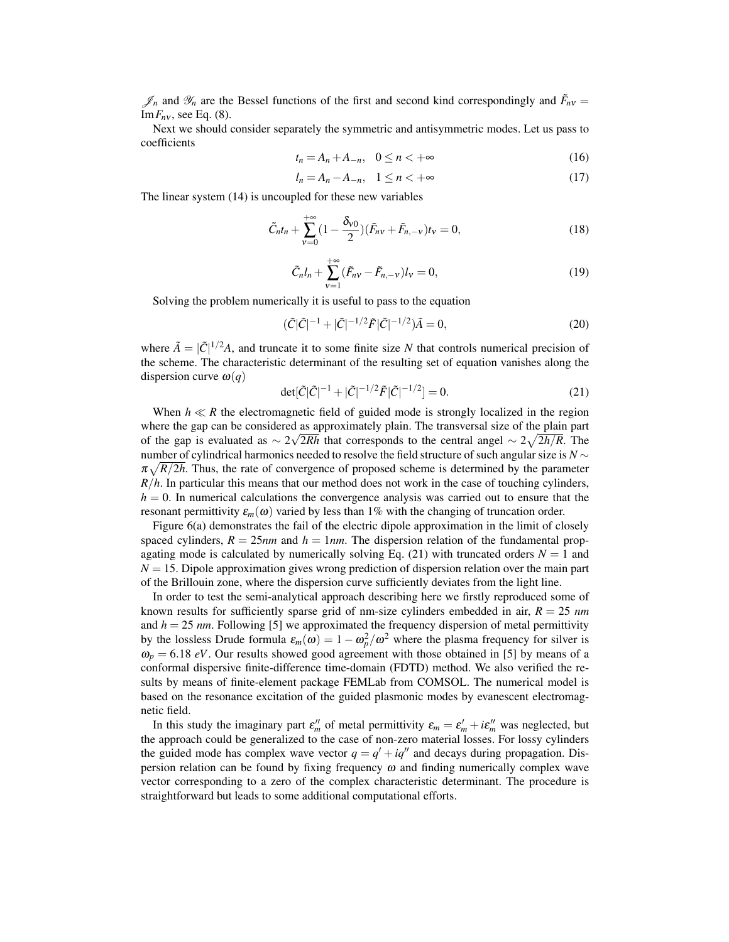$\mathscr{J}_n$  and  $\mathscr{Y}_n$  are the Bessel functions of the first and second kind correspondingly and  $\tilde{F}_{n\nu}$  = Im  $F_{nv}$ , see Eq. (8).

Next we should consider separately the symmetric and antisymmetric modes. Let us pass to coefficients

$$
t_n = A_n + A_{-n}, \quad 0 \le n < +\infty \tag{16}
$$

$$
l_n = A_n - A_{-n}, \quad 1 \le n < +\infty \tag{17}
$$

The linear system (14) is uncoupled for these new variables

$$
\tilde{C}_n t_n + \sum_{v=0}^{+\infty} (1 - \frac{\delta_{v0}}{2}) (\tilde{F}_{nv} + \tilde{F}_{n,-v}) t_v = 0,
$$
\n(18)

$$
\tilde{C}_n l_n + \sum_{v=1}^{+\infty} (\tilde{F}_{nv} - \tilde{F}_{n,-v}) l_v = 0,
$$
\n(19)

Solving the problem numerically it is useful to pass to the equation

$$
(\tilde{C}|\tilde{C}|^{-1} + |\tilde{C}|^{-1/2}\tilde{F}|\tilde{C}|^{-1/2})\tilde{A} = 0,
$$
\n(20)

where  $\tilde{A} = |\tilde{C}|^{1/2}A$ , and truncate it to some finite size *N* that controls numerical precision of the scheme. The characteristic determinant of the resulting set of equation vanishes along the dispersion curve  $\omega(q)$ 

$$
\det[\tilde{C}|\tilde{C}|^{-1} + |\tilde{C}|^{-1/2}\tilde{F}|\tilde{C}|^{-1/2}] = 0.
$$
 (21)

When  $h \ll R$  the electromagnetic field of guided mode is strongly localized in the region where the gap can be considered as approximately plain. The transversal size of the plain part of the gap is evaluated as ∼ 2 2*Rh* that corresponds to the central angel ∼ 2 p 2*h*/*R*. The number of cylindrical harmonics needed to resolve the field structure of such angular size is  $N \sim$  $\pi \sqrt{R/2h}$ . Thus, the rate of convergence of proposed scheme is determined by the parameter  $R/h$ . In particular this means that our method does not work in the case of touching cylinders,  $h = 0$ . In numerical calculations the convergence analysis was carried out to ensure that the resonant permittivity  $\varepsilon_m(\omega)$  varied by less than 1% with the changing of truncation order.

Figure 6(a) demonstrates the fail of the electric dipole approximation in the limit of closely spaced cylinders,  $R = 25nm$  and  $h = 1nm$ . The dispersion relation of the fundamental propagating mode is calculated by numerically solving Eq. (21) with truncated orders  $N = 1$  and  $N = 15$ . Dipole approximation gives wrong prediction of dispersion relation over the main part of the Brillouin zone, where the dispersion curve sufficiently deviates from the light line.

In order to test the semi-analytical approach describing here we firstly reproduced some of known results for sufficiently sparse grid of nm-size cylinders embedded in air, *R* = 25 *nm* and  $h = 25$  nm. Following [5] we approximated the frequency dispersion of metal permittivity by the lossless Drude formula  $\varepsilon_m(\omega) = 1 - \omega_p^2/\omega^2$  where the plasma frequency for silver is  $\omega_p = 6.18 \text{ eV}$ . Our results showed good agreement with those obtained in [5] by means of a conformal dispersive finite-difference time-domain (FDTD) method. We also verified the results by means of finite-element package FEMLab from COMSOL. The numerical model is based on the resonance excitation of the guided plasmonic modes by evanescent electromagnetic field.

In this study the imaginary part  $\varepsilon_m$  of metal permittivity  $\varepsilon_m = \varepsilon_m' + i\varepsilon_m''$  was neglected, but the approach could be generalized to the case of non-zero material losses. For lossy cylinders the guided mode has complex wave vector  $q = q' + iq''$  and decays during propagation. Dispersion relation can be found by fixing frequency  $\omega$  and finding numerically complex wave vector corresponding to a zero of the complex characteristic determinant. The procedure is straightforward but leads to some additional computational efforts.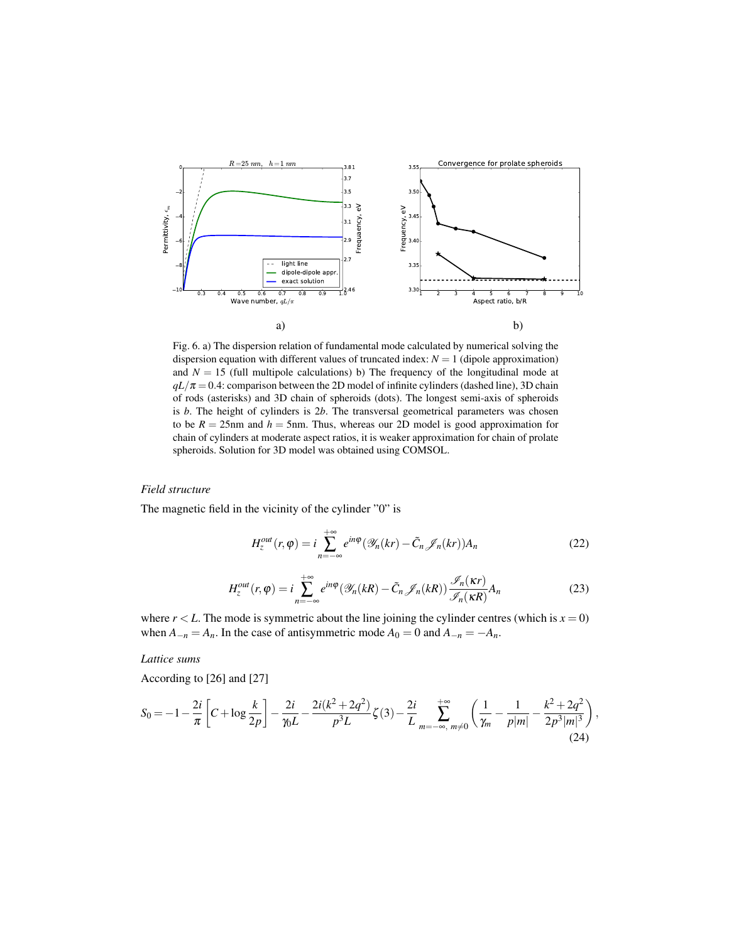

Fig. 6. a) The dispersion relation of fundamental mode calculated by numerical solving the dispersion equation with different values of truncated index: *N* = 1 (dipole approximation) and  $N = 15$  (full multipole calculations) b) The frequency of the longitudinal mode at  $qL/\pi = 0.4$ : comparison between the 2D model of infinite cylinders (dashed line), 3D chain of rods (asterisks) and 3D chain of spheroids (dots). The longest semi-axis of spheroids is *b*. The height of cylinders is 2*b*. The transversal geometrical parameters was chosen to be  $R = 25$ nm and  $h = 5$ nm. Thus, whereas our 2D model is good approximation for chain of cylinders at moderate aspect ratios, it is weaker approximation for chain of prolate spheroids. Solution for 3D model was obtained using COMSOL.

## *Field structure*

The magnetic field in the vicinity of the cylinder "0" is

$$
H_z^{out}(r,\varphi) = i \sum_{n=-\infty}^{+\infty} e^{in\varphi} (\mathscr{Y}_n(kr) - \tilde{C}_n \mathscr{J}_n(kr)) A_n
$$
 (22)

,

$$
H_z^{out}(r,\varphi) = i \sum_{n=-\infty}^{+\infty} e^{in\varphi} (\mathscr{Y}_n(kR) - \tilde{C}_n \mathscr{J}_n(kR)) \frac{\mathscr{I}_n(\kappa r)}{\mathscr{J}_n(\kappa R)} A_n
$$
 (23)

where  $r < L$ . The mode is symmetric about the line joining the cylinder centres (which is  $x = 0$ ) when  $A_{-n} = A_n$ . In the case of antisymmetric mode  $A_0 = 0$  and  $A_{-n} = -A_n$ .

### *Lattice sums*

According to [26] and [27]

$$
S_0 = -1 - \frac{2i}{\pi} \left[ C + \log \frac{k}{2p} \right] - \frac{2i}{\gamma_0 L} - \frac{2i(k^2 + 2q^2)}{p^3 L} \zeta(3) - \frac{2i}{L} \sum_{m = -\infty, m \neq 0}^{+\infty} \left( \frac{1}{\gamma_m} - \frac{1}{p|m|} - \frac{k^2 + 2q^2}{2p^3 |m|^3} \right) \tag{24}
$$